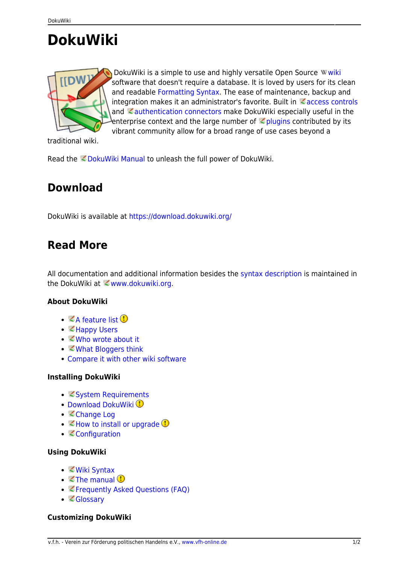# **DokuWiki**



DokuWikiis a simple to use and highly versatile Open Source W[wiki](https://en.wikipedia.org/wiki/wiki) software that doesn't require a database. It is loved by users for its clean and readable [Formatting Syntax](https://intern.vfh-online.de/wiki/syntax). The ease of maintenance, backup and integration makes it an administrator's favorite. Built in  $\leq$  [access controls](https://www.dokuwiki.org/acl) and  $\leq$  [authentication connectors](https://www.dokuwiki.org/auth) make DokuWiki especially useful in the enterprise context and the large number of  $\leq$  [plugins](https://www.dokuwiki.org/plugins) contributed by its vibrant community allow for a broad range of use cases beyond a

traditional wiki.

Read the CookuWiki Manual to unleash the full power of DokuWiki.

### **Download**

DokuWiki is available at <https://download.dokuwiki.org/>

### **Read More**

All documentation and additional information besides the [syntax description](https://intern.vfh-online.de/wiki/syntax) is maintained in the DokuWiki at  $\leq$  [www.dokuwiki.org.](https://www.dokuwiki.org/)

### **About DokuWiki**

- $\bullet$  Z[A feature list](https://www.dokuwiki.org/features)  $\bullet$
- ■[Happy Users](https://www.dokuwiki.org/users)
- ■[Who wrote about it](https://www.dokuwiki.org/press)
- [What Bloggers think](https://www.dokuwiki.org/blogroll)
- [Compare it with other wiki software](https://www.wikimatrix.org/show/DokuWiki)

#### **Installing DokuWiki**

- *[System Requirements](https://www.dokuwiki.org/requirements)*
- $\bullet$  [Download DokuWiki](https://download.dokuwiki.org/)  $\bullet$
- [Change Log](https://www.dokuwiki.org/changes)
- $\bullet$   $\mathbb Z$  [How to install or upgrade](https://www.dokuwiki.org/Install)  $\mathbb D$
- **[Configuration](https://www.dokuwiki.org/config)**

#### **Using DokuWiki**

- [Wiki Syntax](https://www.dokuwiki.org/syntax)
- $\cdot$   $\leq$  [The manual](https://www.dokuwiki.org/manual)  $\circledR$
- [Frequently Asked Questions \(FAQ\)](https://www.dokuwiki.org/FAQ)
- *C*[Glossary](https://www.dokuwiki.org/glossary)

#### **Customizing DokuWiki**